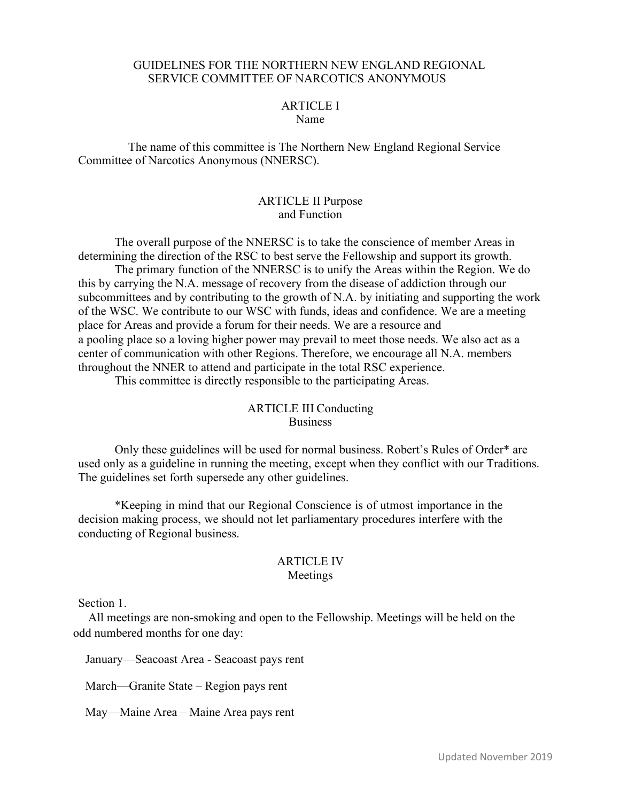#### GUIDELINES FOR THE NORTHERN NEW ENGLAND REGIONAL SERVICE COMMITTEE OF NARCOTICS ANONYMOUS

#### ARTICLE I Name

The name of this committee is The Northern New England Regional Service Committee of Narcotics Anonymous (NNERSC).

#### ARTICLE II Purpose and Function

The overall purpose of the NNERSC is to take the conscience of member Areas in determining the direction of the RSC to best serve the Fellowship and support its growth. The primary function of the NNERSC is to unify the Areas within the Region. We do this by carrying the N.A. message of recovery from the disease of addiction through our subcommittees and by contributing to the growth of N.A. by initiating and supporting the work of the WSC. We contribute to our WSC with funds, ideas and confidence. We are a meeting place for Areas and provide a forum for their needs. We are a resource and a pooling place so a loving higher power may prevail to meet those needs. We also act as a center of communication with other Regions. Therefore, we encourage all N.A. members throughout the NNER to attend and participate in the total RSC experience.

This committee is directly responsible to the participating Areas.

#### ARTICLE III Conducting **Business**

Only these guidelines will be used for normal business. Robert's Rules of Order\* are used only as a guideline in running the meeting, except when they conflict with our Traditions. The guidelines set forth supersede any other guidelines.

\*Keeping in mind that our Regional Conscience is of utmost importance in the decision making process, we should not let parliamentary procedures interfere with the conducting of Regional business.

#### ARTICLE IV Meetings

Section 1.

All meetings are non-smoking and open to the Fellowship. Meetings will be held on the odd numbered months for one day:

January—Seacoast Area - Seacoast pays rent

March—Granite State – Region pays rent

May—Maine Area – Maine Area pays rent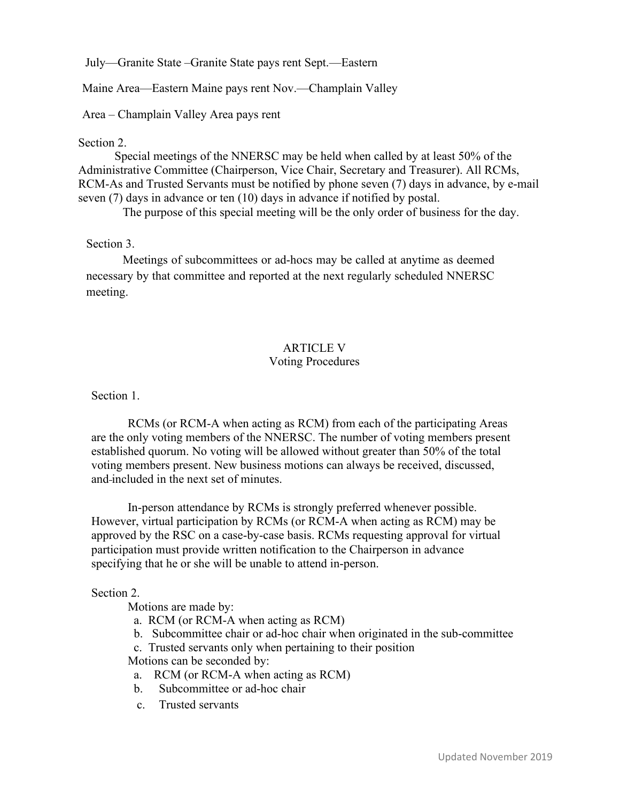July—Granite State –Granite State pays rent Sept.—Eastern

Maine Area—Eastern Maine pays rent Nov.—Champlain Valley

Area – Champlain Valley Area pays rent

#### Section 2.

Special meetings of the NNERSC may be held when called by at least 50% of the Administrative Committee (Chairperson, Vice Chair, Secretary and Treasurer). All RCMs, RCM-As and Trusted Servants must be notified by phone seven (7) days in advance, by e-mail seven (7) days in advance or ten (10) days in advance if notified by postal.

The purpose of this special meeting will be the only order of business for the day.

# Section 3.

Meetings of subcommittees or ad-hocs may be called at anytime as deemed necessary by that committee and reported at the next regularly scheduled NNERSC meeting.

#### ARTICLE V Voting Procedures

Section 1.

RCMs (or RCM-A when acting as RCM) from each of the participating Areas are the only voting members of the NNERSC. The number of voting members present established quorum. No voting will be allowed without greater than 50% of the total voting members present. New business motions can always be received, discussed, and included in the next set of minutes.

In-person attendance by RCMs is strongly preferred whenever possible. However, virtual participation by RCMs (or RCM-A when acting as RCM) may be approved by the RSC on a case-by-case basis. RCMs requesting approval for virtual participation must provide written notification to the Chairperson in advance specifying that he or she will be unable to attend in-person.

# Section 2.

Motions are made by:

- a. RCM (or RCM-A when acting as RCM)
- b. Subcommittee chair or ad-hoc chair when originated in the sub-committee
- c. Trusted servants only when pertaining to their position Motions can be seconded by:
- a. RCM (or RCM-A when acting as RCM)
- b. Subcommittee or ad-hoc chair
- c. Trusted servants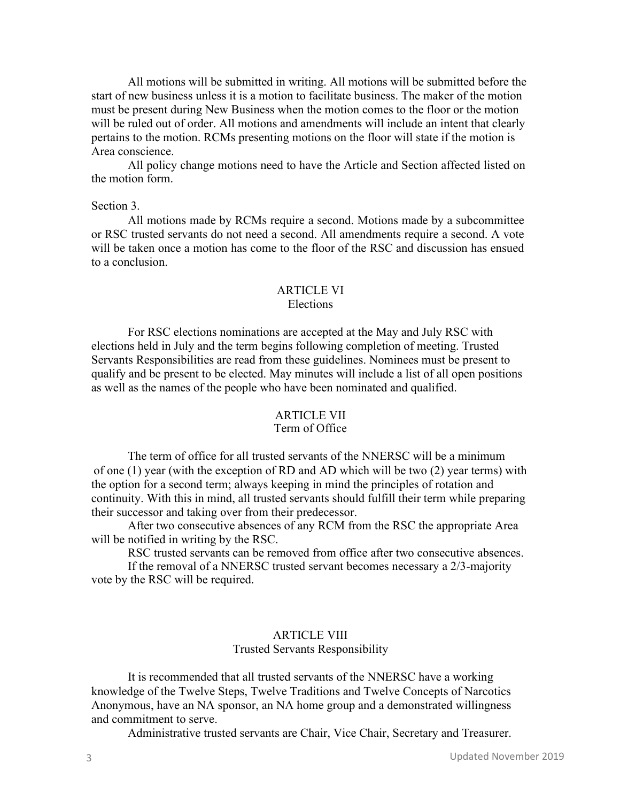All motions will be submitted in writing. All motions will be submitted before the start of new business unless it is a motion to facilitate business. The maker of the motion must be present during New Business when the motion comes to the floor or the motion will be ruled out of order. All motions and amendments will include an intent that clearly pertains to the motion. RCMs presenting motions on the floor will state if the motion is Area conscience.

All policy change motions need to have the Article and Section affected listed on the motion form.

#### Section 3.

All motions made by RCMs require a second. Motions made by a subcommittee or RSC trusted servants do not need a second. All amendments require a second. A vote will be taken once a motion has come to the floor of the RSC and discussion has ensued to a conclusion.

#### ARTICLE VI Elections

# For RSC elections nominations are accepted at the May and July RSC with

elections held in July and the term begins following completion of meeting. Trusted Servants Responsibilities are read from these guidelines. Nominees must be present to qualify and be present to be elected. May minutes will include a list of all open positions as well as the names of the people who have been nominated and qualified.

#### ARTICLE VII Term of Office

The term of office for all trusted servants of the NNERSC will be a minimum of one (1) year (with the exception of RD and AD which will be two (2) year terms) with the option for a second term; always keeping in mind the principles of rotation and continuity. With this in mind, all trusted servants should fulfill their term while preparing their successor and taking over from their predecessor.

After two consecutive absences of any RCM from the RSC the appropriate Area will be notified in writing by the RSC.

RSC trusted servants can be removed from office after two consecutive absences.

If the removal of a NNERSC trusted servant becomes necessary a 2/3-majority vote by the RSC will be required.

# ARTICLE VIII

#### Trusted Servants Responsibility

It is recommended that all trusted servants of the NNERSC have a working knowledge of the Twelve Steps, Twelve Traditions and Twelve Concepts of Narcotics Anonymous, have an NA sponsor, an NA home group and a demonstrated willingness and commitment to serve.

Administrative trusted servants are Chair, Vice Chair, Secretary and Treasurer.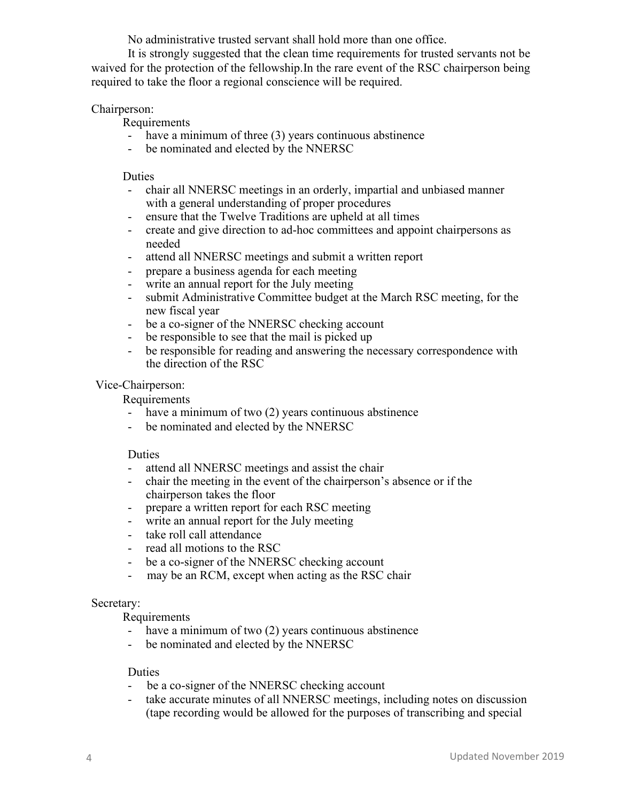No administrative trusted servant shall hold more than one office.

It is strongly suggested that the clean time requirements for trusted servants not be waived for the protection of the fellowship.In the rare event of the RSC chairperson being required to take the floor a regional conscience will be required.

# Chairperson:

Requirements

- have a minimum of three (3) years continuous abstinence
- be nominated and elected by the NNERSC

# **Duties**

- chair all NNERSC meetings in an orderly, impartial and unbiased manner with a general understanding of proper procedures
- ensure that the Twelve Traditions are upheld at all times
- create and give direction to ad-hoc committees and appoint chairpersons as needed
- attend all NNERSC meetings and submit a written report
- prepare a business agenda for each meeting
- write an annual report for the July meeting
- submit Administrative Committee budget at the March RSC meeting, for the new fiscal year
- be a co-signer of the NNERSC checking account<br>- be responsible to see that the mail is picked up
- be responsible to see that the mail is picked up
- be responsible for reading and answering the necessary correspondence with the direction of the RSC

# Vice-Chairperson:

Requirements

- have a minimum of two (2) years continuous abstinence
- be nominated and elected by the NNERSC

# Duties

- attend all NNERSC meetings and assist the chair
- chair the meeting in the event of the chairperson's absence or if the chairperson takes the floor
- prepare a written report for each RSC meeting
- write an annual report for the July meeting
- take roll call attendance
- read all motions to the RSC
- be a co-signer of the NNERSC checking account
- may be an RCM, except when acting as the RSC chair

# Secretary:

Requirements

- have a minimum of two  $(2)$  years continuous abstinence
- be nominated and elected by the NNERSC

# Duties

- be a co-signer of the NNERSC checking account
- take accurate minutes of all NNERSC meetings, including notes on discussion (tape recording would be allowed for the purposes of transcribing and special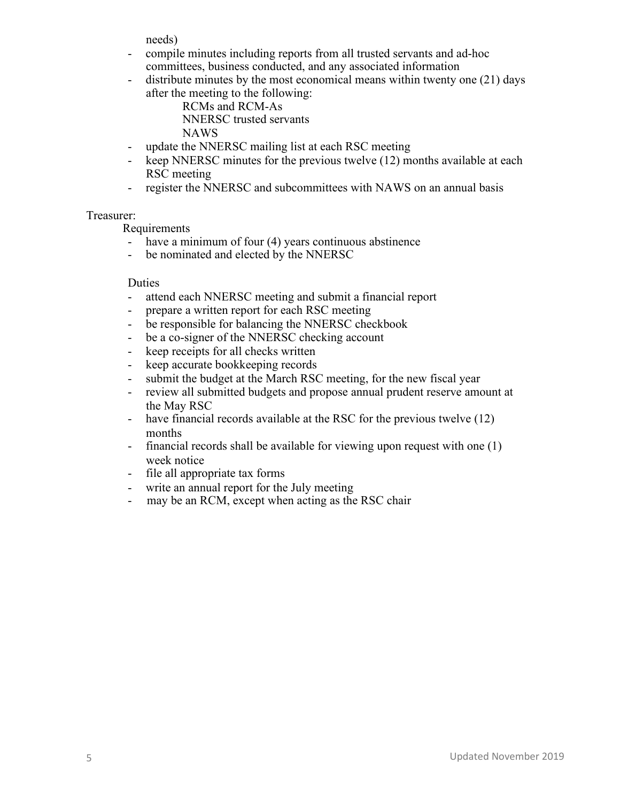needs)

- compile minutes including reports from all trusted servants and ad-hoc committees, business conducted, and any associated information
- distribute minutes by the most economical means within twenty one (21) days after the meeting to the following:

RCMs and RCM-As NNERSC trusted servants NAWS

- update the NNERSC mailing list at each RSC meeting
- keep NNERSC minutes for the previous twelve (12) months available at each RSC meeting
- register the NNERSC and subcommittees with NAWS on an annual basis

# Treasurer:

Requirements

- have a minimum of four (4) years continuous abstinence
- be nominated and elected by the NNERSC

# Duties

- attend each NNERSC meeting and submit a financial report
- prepare a written report for each RSC meeting
- be responsible for balancing the NNERSC checkbook
- be a co-signer of the NNERSC checking account
- keep receipts for all checks written
- keep accurate bookkeeping records
- submit the budget at the March RSC meeting, for the new fiscal year
- review all submitted budgets and propose annual prudent reserve amount at the May RSC
- have financial records available at the RSC for the previous twelve (12) months
- financial records shall be available for viewing upon request with one (1) week notice
- file all appropriate tax forms
- write an annual report for the July meeting
- may be an RCM, except when acting as the RSC chair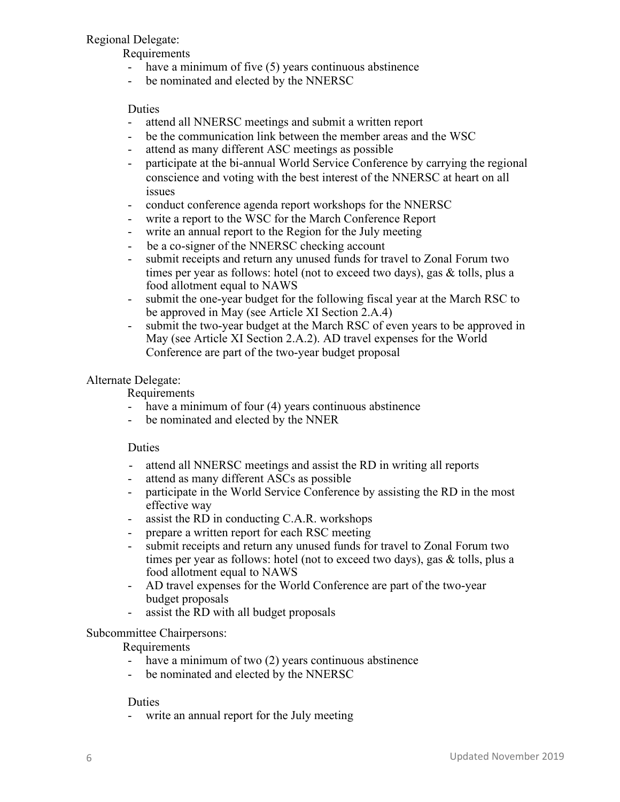# Regional Delegate:

Requirements

- have a minimum of five (5) years continuous abstinence
- be nominated and elected by the NNERSC

# Duties

- attend all NNERSC meetings and submit a written report
- be the communication link between the member areas and the WSC
- attend as many different ASC meetings as possible
- participate at the bi-annual World Service Conference by carrying the regional conscience and voting with the best interest of the NNERSC at heart on all issues
- conduct conference agenda report workshops for the NNERSC
- write a report to the WSC for the March Conference Report
- write an annual report to the Region for the July meeting
- be a co-signer of the NNERSC checking account
- submit receipts and return any unused funds for travel to Zonal Forum two times per year as follows: hotel (not to exceed two days), gas & tolls, plus a food allotment equal to NAWS
- submit the one-year budget for the following fiscal year at the March RSC to be approved in May (see Article XI Section 2.A.4)
- submit the two-year budget at the March RSC of even years to be approved in May (see Article XI Section 2.A.2). AD travel expenses for the World Conference are part of the two-year budget proposal

# Alternate Delegate:

Requirements

- have a minimum of four (4) years continuous abstinence
- be nominated and elected by the NNER

# Duties

- attend all NNERSC meetings and assist the RD in writing all reports
- attend as many different ASCs as possible
- participate in the World Service Conference by assisting the RD in the most effective way
- assist the RD in conducting C.A.R. workshops
- prepare a written report for each RSC meeting
- submit receipts and return any unused funds for travel to Zonal Forum two times per year as follows: hotel (not to exceed two days), gas & tolls, plus a food allotment equal to NAWS
- AD travel expenses for the World Conference are part of the two-year budget proposals
- assist the RD with all budget proposals

# Subcommittee Chairpersons:

Requirements

- have a minimum of two (2) years continuous abstinence
- be nominated and elected by the NNERSC

# Duties

- write an annual report for the July meeting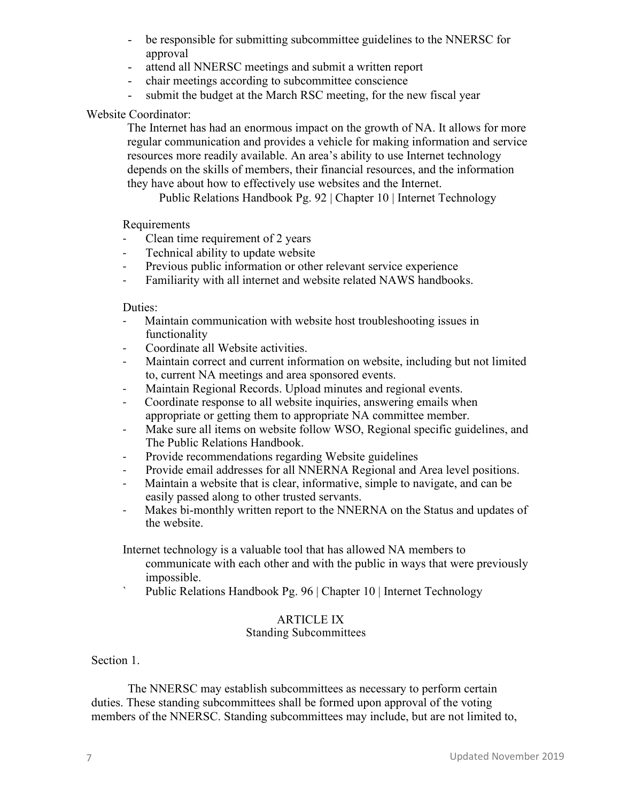- be responsible for submitting subcommittee guidelines to the NNERSC for approval
- attend all NNERSC meetings and submit a written report
- chair meetings according to subcommittee conscience
- submit the budget at the March RSC meeting, for the new fiscal year

# Website Coordinator:

The Internet has had an enormous impact on the growth of NA. It allows for more regular communication and provides a vehicle for making information and service resources more readily available. An area's ability to use Internet technology depends on the skills of members, their financial resources, and the information they have about how to effectively use websites and the Internet.

Public Relations Handbook Pg. 92 | Chapter 10 | Internet Technology

Requirements

- Clean time requirement of 2 years
- Technical ability to update website
- Previous public information or other relevant service experience
- Familiarity with all internet and website related NAWS handbooks.

#### Duties:

- Maintain communication with website host troubleshooting issues in functionality
- Coordinate all Website activities.
- Maintain correct and current information on website, including but not limited to, current NA meetings and area sponsored events.
- Maintain Regional Records. Upload minutes and regional events.
- Coordinate response to all website inquiries, answering emails when appropriate or getting them to appropriate NA committee member.
- Make sure all items on website follow WSO, Regional specific guidelines, and The Public Relations Handbook.
- Provide recommendations regarding Website guidelines
- Provide email addresses for all NNERNA Regional and Area level positions.
- Maintain a website that is clear, informative, simple to navigate, and can be easily passed along to other trusted servants.
- Makes bi-monthly written report to the NNERNA on the Status and updates of the website.

Internet technology is a valuable tool that has allowed NA members to

- communicate with each other and with the public in ways that were previously impossible.
- Public Relations Handbook Pg. 96 | Chapter 10 | Internet Technology

# ARTICLE IX

# Standing Subcommittees

Section 1.

The NNERSC may establish subcommittees as necessary to perform certain duties. These standing subcommittees shall be formed upon approval of the voting members of the NNERSC. Standing subcommittees may include, but are not limited to,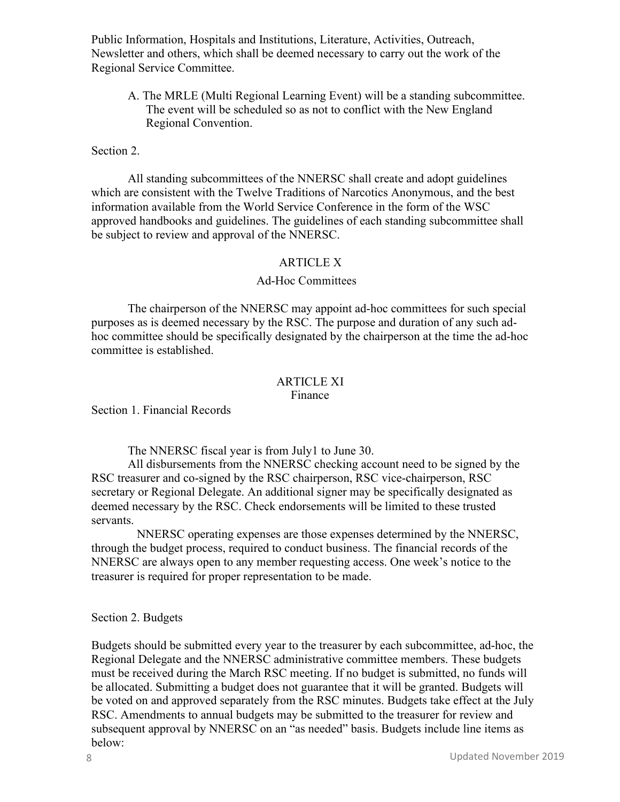Public Information, Hospitals and Institutions, Literature, Activities, Outreach, Newsletter and others, which shall be deemed necessary to carry out the work of the Regional Service Committee.

A. The MRLE (Multi Regional Learning Event) will be a standing subcommittee. The event will be scheduled so as not to conflict with the New England Regional Convention.

#### Section 2.

All standing subcommittees of the NNERSC shall create and adopt guidelines which are consistent with the Twelve Traditions of Narcotics Anonymous, and the best information available from the World Service Conference in the form of the WSC approved handbooks and guidelines. The guidelines of each standing subcommittee shall be subject to review and approval of the NNERSC.

#### ARTICLE X

#### Ad-Hoc Committees

The chairperson of the NNERSC may appoint ad-hoc committees for such special purposes as is deemed necessary by the RSC. The purpose and duration of any such adhoc committee should be specifically designated by the chairperson at the time the ad-hoc committee is established.

#### ARTICLE XI Finance

Section 1. Financial Records

The NNERSC fiscal year is from July1 to June 30.

All disbursements from the NNERSC checking account need to be signed by the RSC treasurer and co-signed by the RSC chairperson, RSC vice-chairperson, RSC secretary or Regional Delegate. An additional signer may be specifically designated as deemed necessary by the RSC. Check endorsements will be limited to these trusted servants.

NNERSC operating expenses are those expenses determined by the NNERSC, through the budget process, required to conduct business. The financial records of the NNERSC are always open to any member requesting access. One week's notice to the treasurer is required for proper representation to be made.

# Section 2. Budgets

Budgets should be submitted every year to the treasurer by each subcommittee, ad-hoc, the Regional Delegate and the NNERSC administrative committee members. These budgets must be received during the March RSC meeting. If no budget is submitted, no funds will be allocated. Submitting a budget does not guarantee that it will be granted. Budgets will be voted on and approved separately from the RSC minutes. Budgets take effect at the July RSC. Amendments to annual budgets may be submitted to the treasurer for review and subsequent approval by NNERSC on an "as needed" basis. Budgets include line items as below: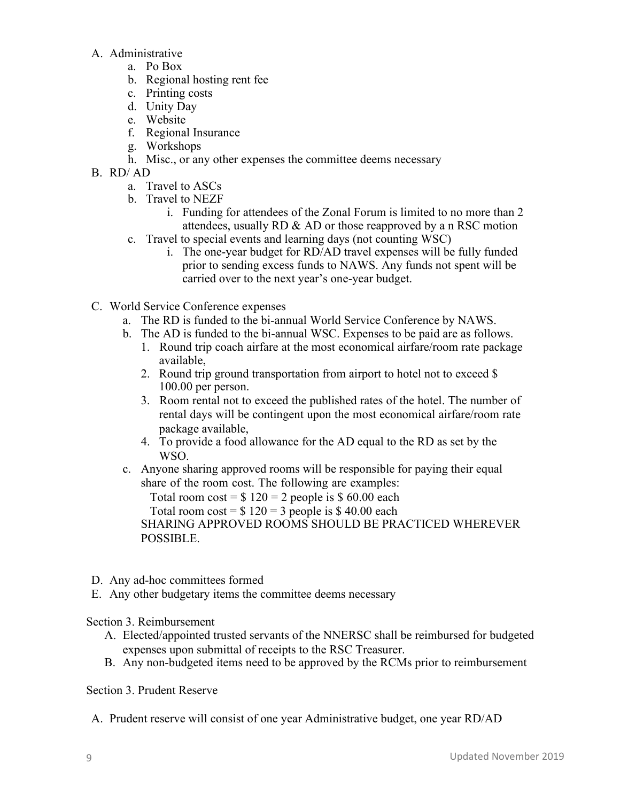# A. Administrative

- a. Po Box
- b. Regional hosting rent fee
- c. Printing costs
- d. Unity Day
- e. Website
- f. Regional Insurance
- g. Workshops
- h. Misc., or any other expenses the committee deems necessary
- B. RD/ AD
	- a. Travel to ASCs
	- b. Travel to NEZF
		- i. Funding for attendees of the Zonal Forum is limited to no more than 2 attendees, usually RD & AD or those reapproved by a n RSC motion
	- c. Travel to special events and learning days (not counting WSC)
		- i. The one-year budget for RD/AD travel expenses will be fully funded prior to sending excess funds to NAWS. Any funds not spent will be carried over to the next year's one-year budget.
- C. World Service Conference expenses
	- a. The RD is funded to the bi-annual World Service Conference by NAWS.
	- b. The AD is funded to the bi-annual WSC. Expenses to be paid are as follows.
		- 1. Round trip coach airfare at the most economical airfare/room rate package available,
		- 2. Round trip ground transportation from airport to hotel not to exceed \$ 100.00 per person.
		- 3. Room rental not to exceed the published rates of the hotel. The number of rental days will be contingent upon the most economical airfare/room rate package available,
		- 4. To provide a food allowance for the AD equal to the RD as set by the WSO.
	- c. Anyone sharing approved rooms will be responsible for paying their equal share of the room cost. The following are examples:

Total room  $cost = $ 120 = 2$  people is \$60.00 each

Total room  $cost = $ 120 = 3$  people is \$40.00 each

SHARING APPROVED ROOMS SHOULD BE PRACTICED WHEREVER POSSIBLE.

- D. Any ad-hoc committees formed
- E. Any other budgetary items the committee deems necessary

# Section 3. Reimbursement

- A. Elected/appointed trusted servants of the NNERSC shall be reimbursed for budgeted expenses upon submittal of receipts to the RSC Treasurer.
- B. Any non-budgeted items need to be approved by the RCMs prior to reimbursement

# Section 3. Prudent Reserve

A. Prudent reserve will consist of one year Administrative budget, one year RD/AD